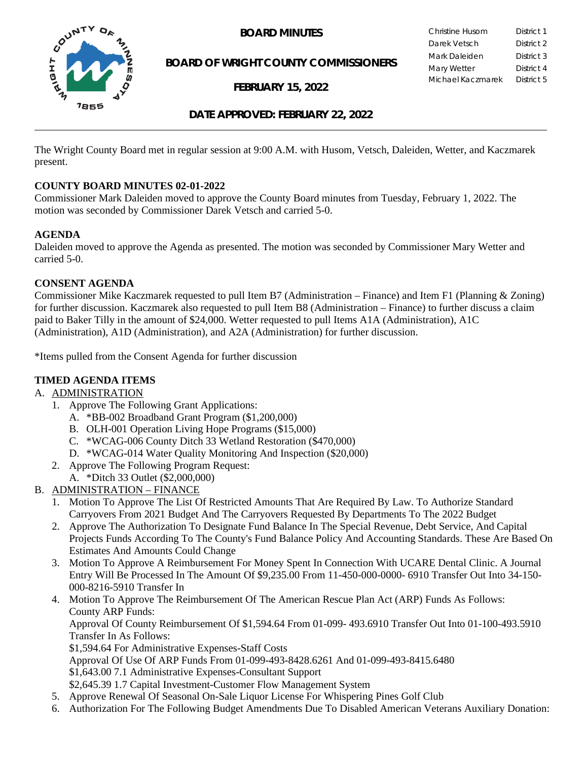

**BOARD OF WRIGHT COUNTY COMMISSIONERS**

**FEBRUARY 15, 2022**

**BOARD MINUTES** Christine Husom District 1<br>Darek Vetsch District 2 Darek Vetsch Mark Daleiden **District 3** Mary Wetter District 4 Michael Kaczmarek District 5

## **DATE APPROVED: FEBRUARY 22, 2022**

The Wright County Board met in regular session at 9:00 A.M. with Husom, Vetsch, Daleiden, Wetter, and Kaczmarek present.

### **COUNTY BOARD MINUTES 02-01-2022**

Commissioner Mark Daleiden moved to approve the County Board minutes from Tuesday, February 1, 2022. The motion was seconded by Commissioner Darek Vetsch and carried 5-0.

### **AGENDA**

Daleiden moved to approve the Agenda as presented. The motion was seconded by Commissioner Mary Wetter and carried 5-0.

### **CONSENT AGENDA**

Commissioner Mike Kaczmarek requested to pull Item B7 (Administration – Finance) and Item F1 (Planning & Zoning) for further discussion. Kaczmarek also requested to pull Item B8 (Administration – Finance) to further discuss a claim paid to Baker Tilly in the amount of \$24,000. Wetter requested to pull Items A1A (Administration), A1C (Administration), A1D (Administration), and A2A (Administration) for further discussion.

\*Items pulled from the Consent Agenda for further discussion

## **TIMED AGENDA ITEMS**

### A. ADMINISTRATION

- 1. Approve The Following Grant Applications:
	- A. \*BB-002 Broadband Grant Program (\$1,200,000)
	- B. OLH-001 Operation Living Hope Programs (\$15,000)
	- C. \*WCAG-006 County Ditch 33 Wetland Restoration (\$470,000)
	- D. \*WCAG-014 Water Quality Monitoring And Inspection (\$20,000)
- 2. Approve The Following Program Request:
	- A. \*Ditch 33 Outlet (\$2,000,000)
- B. ADMINISTRATION FINANCE
	- 1. Motion To Approve The List Of Restricted Amounts That Are Required By Law. To Authorize Standard Carryovers From 2021 Budget And The Carryovers Requested By Departments To The 2022 Budget
	- 2. Approve The Authorization To Designate Fund Balance In The Special Revenue, Debt Service, And Capital Projects Funds According To The County's Fund Balance Policy And Accounting Standards. These Are Based On Estimates And Amounts Could Change
	- 3. Motion To Approve A Reimbursement For Money Spent In Connection With UCARE Dental Clinic. A Journal Entry Will Be Processed In The Amount Of \$9,235.00 From 11-450-000-0000- 6910 Transfer Out Into 34-150- 000-8216-5910 Transfer In
	- 4. Motion To Approve The Reimbursement Of The American Rescue Plan Act (ARP) Funds As Follows: County ARP Funds: Approval Of County Reimbursement Of \$1,594.64 From 01-099- 493.6910 Transfer Out Into 01-100-493.5910 Transfer In As Follows: \$1,594.64 For Administrative Expenses-Staff Costs Approval Of Use Of ARP Funds From 01-099-493-8428.6261 And 01-099-493-8415.6480 \$1,643.00 7.1 Administrative Expenses-Consultant Support \$2,645.39 1.7 Capital Investment-Customer Flow Management System
		-
	- 5. Approve Renewal Of Seasonal On-Sale Liquor License For Whispering Pines Golf Club
	- 6. Authorization For The Following Budget Amendments Due To Disabled American Veterans Auxiliary Donation: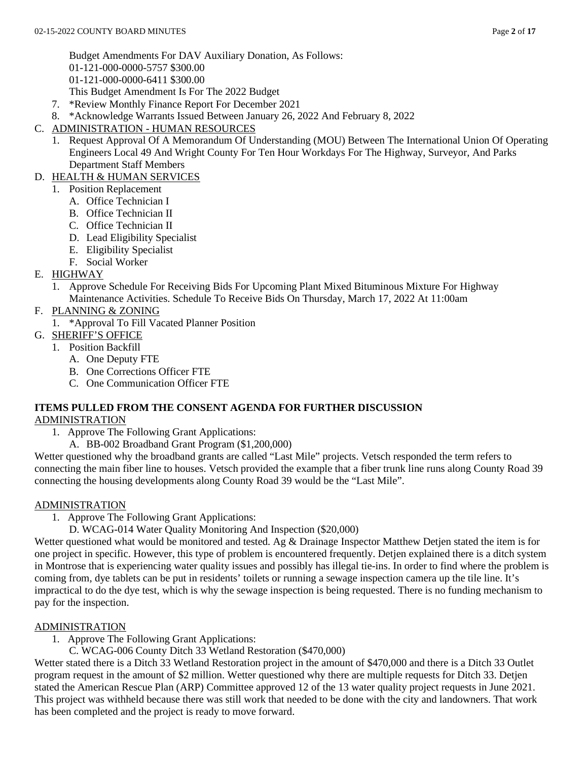Budget Amendments For DAV Auxiliary Donation, As Follows: 01-121-000-0000-5757 \$300.00 01-121-000-0000-6411 \$300.00 This Budget Amendment Is For The 2022 Budget

- 7. \*Review Monthly Finance Report For December 2021
- 8. \*Acknowledge Warrants Issued Between January 26, 2022 And February 8, 2022
- C. ADMINISTRATION HUMAN RESOURCES
	- 1. Request Approval Of A Memorandum Of Understanding (MOU) Between The International Union Of Operating Engineers Local 49 And Wright County For Ten Hour Workdays For The Highway, Surveyor, And Parks Department Staff Members
- D. HEALTH & HUMAN SERVICES
	- 1. Position Replacement
		- A. Office Technician I
		- B. Office Technician II
		- C. Office Technician II
		- D. Lead Eligibility Specialist
		- E. Eligibility Specialist
		- F. Social Worker
- E. HIGHWAY
	- 1. Approve Schedule For Receiving Bids For Upcoming Plant Mixed Bituminous Mixture For Highway Maintenance Activities. Schedule To Receive Bids On Thursday, March 17, 2022 At 11:00am
- F. PLANNING & ZONING
	- 1. \*Approval To Fill Vacated Planner Position
- G. SHERIFF'S OFFICE
	- 1. Position Backfill
		- A. One Deputy FTE
		- B. One Corrections Officer FTE
		- C. One Communication Officer FTE

#### **ITEMS PULLED FROM THE CONSENT AGENDA FOR FURTHER DISCUSSION** ADMINISTRATION

- 1. Approve The Following Grant Applications:
	- A. BB-002 Broadband Grant Program (\$1,200,000)

Wetter questioned why the broadband grants are called "Last Mile" projects. Vetsch responded the term refers to connecting the main fiber line to houses. Vetsch provided the example that a fiber trunk line runs along County Road 39 connecting the housing developments along County Road 39 would be the "Last Mile".

## ADMINISTRATION

- 1. Approve The Following Grant Applications:
	- D. WCAG-014 Water Quality Monitoring And Inspection (\$20,000)

Wetter questioned what would be monitored and tested. Ag & Drainage Inspector Matthew Detjen stated the item is for one project in specific. However, this type of problem is encountered frequently. Detjen explained there is a ditch system in Montrose that is experiencing water quality issues and possibly has illegal tie-ins. In order to find where the problem is coming from, dye tablets can be put in residents' toilets or running a sewage inspection camera up the tile line. It's impractical to do the dye test, which is why the sewage inspection is being requested. There is no funding mechanism to pay for the inspection.

## ADMINISTRATION

- 1. Approve The Following Grant Applications:
	- C. WCAG-006 County Ditch 33 Wetland Restoration (\$470,000)

Wetter stated there is a Ditch 33 Wetland Restoration project in the amount of \$470,000 and there is a Ditch 33 Outlet program request in the amount of \$2 million. Wetter questioned why there are multiple requests for Ditch 33. Detjen stated the American Rescue Plan (ARP) Committee approved 12 of the 13 water quality project requests in June 2021. This project was withheld because there was still work that needed to be done with the city and landowners. That work has been completed and the project is ready to move forward.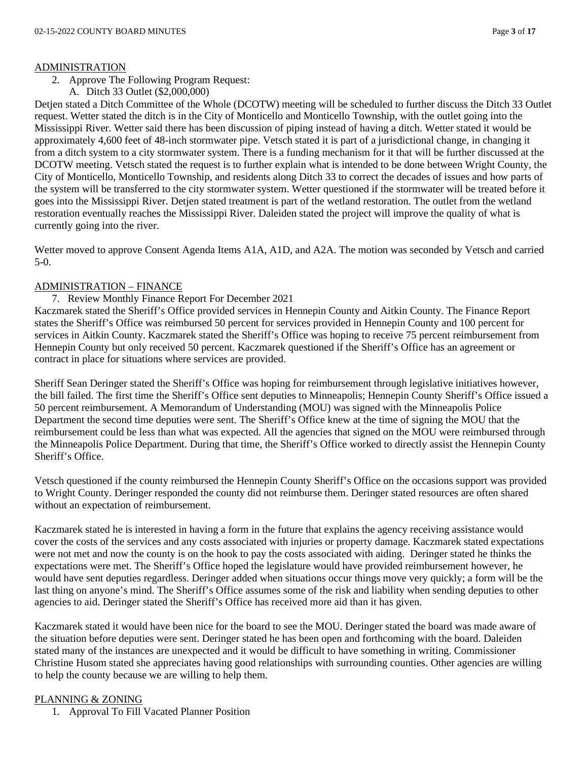### ADMINISTRATION

- 2. Approve The Following Program Request:
	- A. Ditch 33 Outlet (\$2,000,000)

Detjen stated a Ditch Committee of the Whole (DCOTW) meeting will be scheduled to further discuss the Ditch 33 Outlet request. Wetter stated the ditch is in the City of Monticello and Monticello Township, with the outlet going into the Mississippi River. Wetter said there has been discussion of piping instead of having a ditch. Wetter stated it would be approximately 4,600 feet of 48-inch stormwater pipe. Vetsch stated it is part of a jurisdictional change, in changing it from a ditch system to a city stormwater system. There is a funding mechanism for it that will be further discussed at the DCOTW meeting. Vetsch stated the request is to further explain what is intended to be done between Wright County, the City of Monticello, Monticello Township, and residents along Ditch 33 to correct the decades of issues and how parts of the system will be transferred to the city stormwater system. Wetter questioned if the stormwater will be treated before it goes into the Mississippi River. Detjen stated treatment is part of the wetland restoration. The outlet from the wetland restoration eventually reaches the Mississippi River. Daleiden stated the project will improve the quality of what is currently going into the river.

Wetter moved to approve Consent Agenda Items A1A, A1D, and A2A. The motion was seconded by Vetsch and carried 5-0.

## ADMINISTRATION – FINANCE

### 7. Review Monthly Finance Report For December 2021

Kaczmarek stated the Sheriff's Office provided services in Hennepin County and Aitkin County. The Finance Report states the Sheriff's Office was reimbursed 50 percent for services provided in Hennepin County and 100 percent for services in Aitkin County. Kaczmarek stated the Sheriff's Office was hoping to receive 75 percent reimbursement from Hennepin County but only received 50 percent. Kaczmarek questioned if the Sheriff's Office has an agreement or contract in place for situations where services are provided.

Sheriff Sean Deringer stated the Sheriff's Office was hoping for reimbursement through legislative initiatives however, the bill failed. The first time the Sheriff's Office sent deputies to Minneapolis; Hennepin County Sheriff's Office issued a 50 percent reimbursement. A Memorandum of Understanding (MOU) was signed with the Minneapolis Police Department the second time deputies were sent. The Sheriff's Office knew at the time of signing the MOU that the reimbursement could be less than what was expected. All the agencies that signed on the MOU were reimbursed through the Minneapolis Police Department. During that time, the Sheriff's Office worked to directly assist the Hennepin County Sheriff's Office.

Vetsch questioned if the county reimbursed the Hennepin County Sheriff's Office on the occasions support was provided to Wright County. Deringer responded the county did not reimburse them. Deringer stated resources are often shared without an expectation of reimbursement.

Kaczmarek stated he is interested in having a form in the future that explains the agency receiving assistance would cover the costs of the services and any costs associated with injuries or property damage. Kaczmarek stated expectations were not met and now the county is on the hook to pay the costs associated with aiding. Deringer stated he thinks the expectations were met. The Sheriff's Office hoped the legislature would have provided reimbursement however, he would have sent deputies regardless. Deringer added when situations occur things move very quickly; a form will be the last thing on anyone's mind. The Sheriff's Office assumes some of the risk and liability when sending deputies to other agencies to aid. Deringer stated the Sheriff's Office has received more aid than it has given.

Kaczmarek stated it would have been nice for the board to see the MOU. Deringer stated the board was made aware of the situation before deputies were sent. Deringer stated he has been open and forthcoming with the board. Daleiden stated many of the instances are unexpected and it would be difficult to have something in writing. Commissioner Christine Husom stated she appreciates having good relationships with surrounding counties. Other agencies are willing to help the county because we are willing to help them.

## PLANNING & ZONING

1. Approval To Fill Vacated Planner Position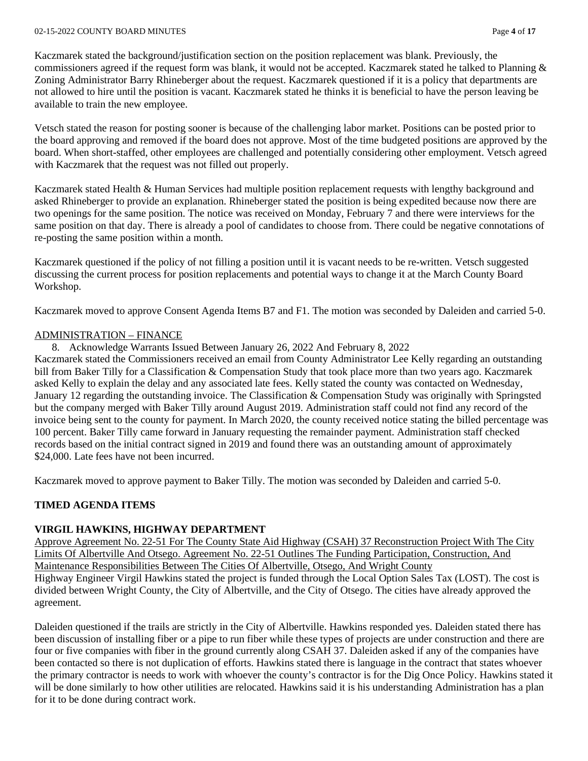#### 02-15-2022 COUNTY BOARD MINUTES Page **4** of **17**

Kaczmarek stated the background/justification section on the position replacement was blank. Previously, the commissioners agreed if the request form was blank, it would not be accepted. Kaczmarek stated he talked to Planning & Zoning Administrator Barry Rhineberger about the request. Kaczmarek questioned if it is a policy that departments are not allowed to hire until the position is vacant. Kaczmarek stated he thinks it is beneficial to have the person leaving be available to train the new employee.

Vetsch stated the reason for posting sooner is because of the challenging labor market. Positions can be posted prior to the board approving and removed if the board does not approve. Most of the time budgeted positions are approved by the board. When short-staffed, other employees are challenged and potentially considering other employment. Vetsch agreed with Kaczmarek that the request was not filled out properly.

Kaczmarek stated Health & Human Services had multiple position replacement requests with lengthy background and asked Rhineberger to provide an explanation. Rhineberger stated the position is being expedited because now there are two openings for the same position. The notice was received on Monday, February 7 and there were interviews for the same position on that day. There is already a pool of candidates to choose from. There could be negative connotations of re-posting the same position within a month.

Kaczmarek questioned if the policy of not filling a position until it is vacant needs to be re-written. Vetsch suggested discussing the current process for position replacements and potential ways to change it at the March County Board Workshop.

Kaczmarek moved to approve Consent Agenda Items B7 and F1. The motion was seconded by Daleiden and carried 5-0.

### ADMINISTRATION – FINANCE

8. Acknowledge Warrants Issued Between January 26, 2022 And February 8, 2022

Kaczmarek stated the Commissioners received an email from County Administrator Lee Kelly regarding an outstanding bill from Baker Tilly for a Classification & Compensation Study that took place more than two years ago. Kaczmarek asked Kelly to explain the delay and any associated late fees. Kelly stated the county was contacted on Wednesday, January 12 regarding the outstanding invoice. The Classification & Compensation Study was originally with Springsted but the company merged with Baker Tilly around August 2019. Administration staff could not find any record of the invoice being sent to the county for payment. In March 2020, the county received notice stating the billed percentage was 100 percent. Baker Tilly came forward in January requesting the remainder payment. Administration staff checked records based on the initial contract signed in 2019 and found there was an outstanding amount of approximately \$24,000. Late fees have not been incurred.

Kaczmarek moved to approve payment to Baker Tilly. The motion was seconded by Daleiden and carried 5-0.

## **TIMED AGENDA ITEMS**

## **VIRGIL HAWKINS, HIGHWAY DEPARTMENT**

Approve Agreement No. 22-51 For The County State Aid Highway (CSAH) 37 Reconstruction Project With The City Limits Of Albertville And Otsego. Agreement No. 22-51 Outlines The Funding Participation, Construction, And Maintenance Responsibilities Between The Cities Of Albertville, Otsego, And Wright County Highway Engineer Virgil Hawkins stated the project is funded through the Local Option Sales Tax (LOST). The cost is divided between Wright County, the City of Albertville, and the City of Otsego. The cities have already approved the agreement.

Daleiden questioned if the trails are strictly in the City of Albertville. Hawkins responded yes. Daleiden stated there has been discussion of installing fiber or a pipe to run fiber while these types of projects are under construction and there are four or five companies with fiber in the ground currently along CSAH 37. Daleiden asked if any of the companies have been contacted so there is not duplication of efforts. Hawkins stated there is language in the contract that states whoever the primary contractor is needs to work with whoever the county's contractor is for the Dig Once Policy. Hawkins stated it will be done similarly to how other utilities are relocated. Hawkins said it is his understanding Administration has a plan for it to be done during contract work.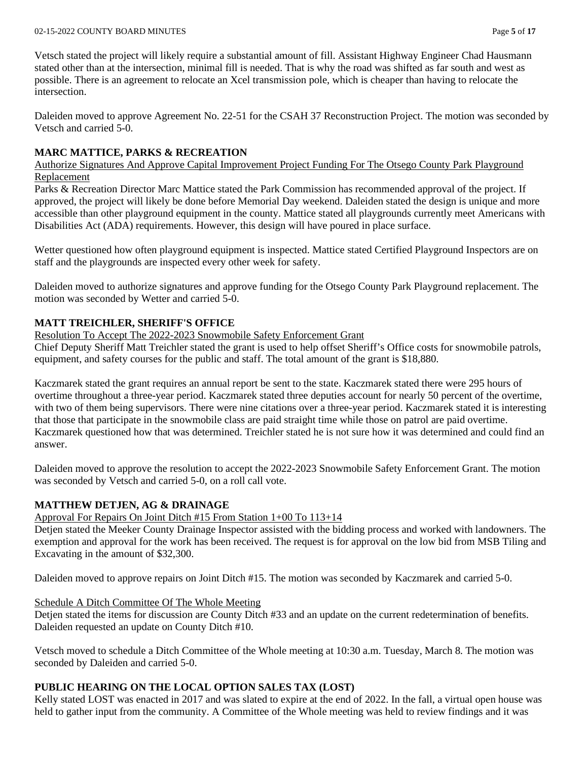Vetsch stated the project will likely require a substantial amount of fill. Assistant Highway Engineer Chad Hausmann stated other than at the intersection, minimal fill is needed. That is why the road was shifted as far south and west as possible. There is an agreement to relocate an Xcel transmission pole, which is cheaper than having to relocate the intersection.

Daleiden moved to approve Agreement No. 22-51 for the CSAH 37 Reconstruction Project. The motion was seconded by Vetsch and carried 5-0.

## **MARC MATTICE, PARKS & RECREATION**

Authorize Signatures And Approve Capital Improvement Project Funding For The Otsego County Park Playground Replacement

Parks & Recreation Director Marc Mattice stated the Park Commission has recommended approval of the project. If approved, the project will likely be done before Memorial Day weekend. Daleiden stated the design is unique and more accessible than other playground equipment in the county. Mattice stated all playgrounds currently meet Americans with Disabilities Act (ADA) requirements. However, this design will have poured in place surface.

Wetter questioned how often playground equipment is inspected. Mattice stated Certified Playground Inspectors are on staff and the playgrounds are inspected every other week for safety.

Daleiden moved to authorize signatures and approve funding for the Otsego County Park Playground replacement. The motion was seconded by Wetter and carried 5-0.

## **MATT TREICHLER, SHERIFF'S OFFICE**

Resolution To Accept The 2022-2023 Snowmobile Safety Enforcement Grant

Chief Deputy Sheriff Matt Treichler stated the grant is used to help offset Sheriff's Office costs for snowmobile patrols, equipment, and safety courses for the public and staff. The total amount of the grant is \$18,880.

Kaczmarek stated the grant requires an annual report be sent to the state. Kaczmarek stated there were 295 hours of overtime throughout a three-year period. Kaczmarek stated three deputies account for nearly 50 percent of the overtime, with two of them being supervisors. There were nine citations over a three-year period. Kaczmarek stated it is interesting that those that participate in the snowmobile class are paid straight time while those on patrol are paid overtime. Kaczmarek questioned how that was determined. Treichler stated he is not sure how it was determined and could find an answer.

Daleiden moved to approve the resolution to accept the 2022-2023 Snowmobile Safety Enforcement Grant. The motion was seconded by Vetsch and carried 5-0, on a roll call vote.

# **MATTHEW DETJEN, AG & DRAINAGE**

## Approval For Repairs On Joint Ditch #15 From Station 1+00 To 113+14

Detjen stated the Meeker County Drainage Inspector assisted with the bidding process and worked with landowners. The exemption and approval for the work has been received. The request is for approval on the low bid from MSB Tiling and Excavating in the amount of \$32,300.

Daleiden moved to approve repairs on Joint Ditch #15. The motion was seconded by Kaczmarek and carried 5-0.

## Schedule A Ditch Committee Of The Whole Meeting

Detjen stated the items for discussion are County Ditch #33 and an update on the current redetermination of benefits. Daleiden requested an update on County Ditch #10.

Vetsch moved to schedule a Ditch Committee of the Whole meeting at 10:30 a.m. Tuesday, March 8. The motion was seconded by Daleiden and carried 5-0.

# **PUBLIC HEARING ON THE LOCAL OPTION SALES TAX (LOST)**

Kelly stated LOST was enacted in 2017 and was slated to expire at the end of 2022. In the fall, a virtual open house was held to gather input from the community. A Committee of the Whole meeting was held to review findings and it was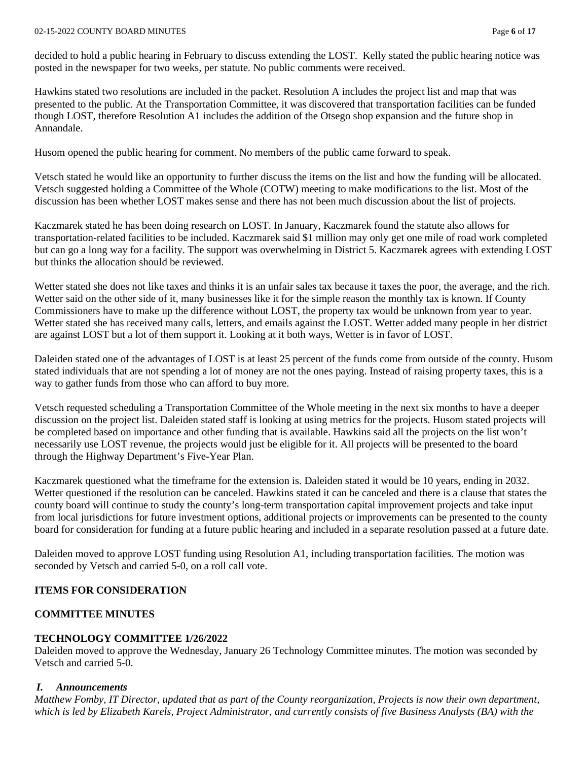#### 02-15-2022 COUNTY BOARD MINUTES Page **6** of **17**

decided to hold a public hearing in February to discuss extending the LOST. Kelly stated the public hearing notice was posted in the newspaper for two weeks, per statute. No public comments were received.

Hawkins stated two resolutions are included in the packet. Resolution A includes the project list and map that was presented to the public. At the Transportation Committee, it was discovered that transportation facilities can be funded though LOST, therefore Resolution A1 includes the addition of the Otsego shop expansion and the future shop in Annandale.

Husom opened the public hearing for comment. No members of the public came forward to speak.

Vetsch stated he would like an opportunity to further discuss the items on the list and how the funding will be allocated. Vetsch suggested holding a Committee of the Whole (COTW) meeting to make modifications to the list. Most of the discussion has been whether LOST makes sense and there has not been much discussion about the list of projects.

Kaczmarek stated he has been doing research on LOST. In January, Kaczmarek found the statute also allows for transportation-related facilities to be included. Kaczmarek said \$1 million may only get one mile of road work completed but can go a long way for a facility. The support was overwhelming in District 5. Kaczmarek agrees with extending LOST but thinks the allocation should be reviewed.

Wetter stated she does not like taxes and thinks it is an unfair sales tax because it taxes the poor, the average, and the rich. Wetter said on the other side of it, many businesses like it for the simple reason the monthly tax is known. If County Commissioners have to make up the difference without LOST, the property tax would be unknown from year to year. Wetter stated she has received many calls, letters, and emails against the LOST. Wetter added many people in her district are against LOST but a lot of them support it. Looking at it both ways, Wetter is in favor of LOST.

Daleiden stated one of the advantages of LOST is at least 25 percent of the funds come from outside of the county. Husom stated individuals that are not spending a lot of money are not the ones paying. Instead of raising property taxes, this is a way to gather funds from those who can afford to buy more.

Vetsch requested scheduling a Transportation Committee of the Whole meeting in the next six months to have a deeper discussion on the project list. Daleiden stated staff is looking at using metrics for the projects. Husom stated projects will be completed based on importance and other funding that is available. Hawkins said all the projects on the list won't necessarily use LOST revenue, the projects would just be eligible for it. All projects will be presented to the board through the Highway Department's Five-Year Plan.

Kaczmarek questioned what the timeframe for the extension is. Daleiden stated it would be 10 years, ending in 2032. Wetter questioned if the resolution can be canceled. Hawkins stated it can be canceled and there is a clause that states the county board will continue to study the county's long-term transportation capital improvement projects and take input from local jurisdictions for future investment options, additional projects or improvements can be presented to the county board for consideration for funding at a future public hearing and included in a separate resolution passed at a future date.

Daleiden moved to approve LOST funding using Resolution A1, including transportation facilities. The motion was seconded by Vetsch and carried 5-0, on a roll call vote.

## **ITEMS FOR CONSIDERATION**

## **COMMITTEE MINUTES**

## **TECHNOLOGY COMMITTEE 1/26/2022**

Daleiden moved to approve the Wednesday, January 26 Technology Committee minutes. The motion was seconded by Vetsch and carried 5-0.

### *I. Announcements*

*Matthew Fomby, IT Director, updated that as part of the County reorganization, Projects is now their own department, which is led by Elizabeth Karels, Project Administrator, and currently consists of five Business Analysts (BA) with the*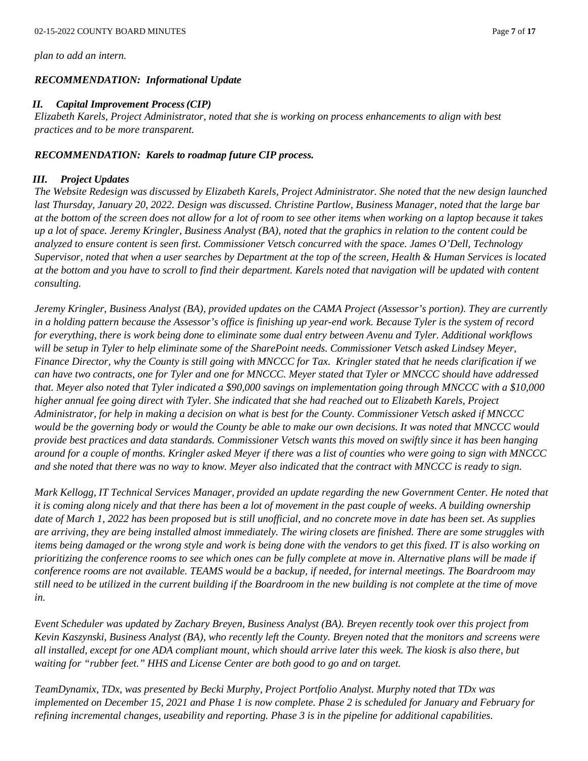*plan to add an intern.*

### *RECOMMENDATION: Informational Update*

### *II. Capital Improvement Process(CIP)*

*Elizabeth Karels, Project Administrator, noted that she is working on process enhancements to align with best practices and to be more transparent.*

### *RECOMMENDATION: Karels to roadmap future CIP process.*

#### *III. Project Updates*

*The Website Redesign was discussed by Elizabeth Karels, Project Administrator. She noted that the new design launched last Thursday, January 20, 2022. Design was discussed. Christine Partlow, Business Manager, noted that the large bar at the bottom of the screen does not allow for a lot of room to see other items when working on a laptop because it takes up a lot of space. Jeremy Kringler, Business Analyst (BA), noted that the graphics in relation to the content could be analyzed to ensure content is seen first. Commissioner Vetsch concurred with the space. James O'Dell, Technology Supervisor, noted that when a user searches by Department at the top of the screen, Health & Human Services is located at the bottom and you have to scroll to find their department. Karels noted that navigation will be updated with content consulting.*

*Jeremy Kringler, Business Analyst (BA), provided updates on the CAMA Project (Assessor's portion). They are currently in a holding pattern because the Assessor's office is finishing up year-end work. Because Tyler is the system of record for everything, there is work being done to eliminate some dual entry between Avenu and Tyler. Additional workflows will be setup in Tyler to help eliminate some of the SharePoint needs. Commissioner Vetsch asked Lindsey Meyer, Finance Director, why the County is still going with MNCCC for Tax. Kringler stated that he needs clarification if we can have two contracts, one for Tyler and one for MNCCC. Meyer stated that Tyler or MNCCC should have addressed that. Meyer also noted that Tyler indicated a \$90,000 savings on implementation going through MNCCC with a \$10,000 higher annual fee going direct with Tyler. She indicated that she had reached out to Elizabeth Karels, Project Administrator, for help in making a decision on what is best for the County. Commissioner Vetsch asked if MNCCC would be the governing body or would the County be able to make our own decisions. It was noted that MNCCC would provide best practices and data standards. Commissioner Vetsch wants this moved on swiftly since it has been hanging around for a couple of months. Kringler asked Meyer if there was a list of counties who were going to sign with MNCCC and she noted that there was no way to know. Meyer also indicated that the contract with MNCCC is ready to sign.*

*Mark Kellogg, IT Technical Services Manager, provided an update regarding the new Government Center. He noted that it is coming along nicely and that there has been a lot of movement in the past couple of weeks. A building ownership date of March 1, 2022 has been proposed but is still unofficial, and no concrete move in date has been set. As supplies are arriving, they are being installed almost immediately. The wiring closets are finished. There are some struggles with items being damaged or the wrong style and work is being done with the vendors to get this fixed. IT is also working on prioritizing the conference rooms to see which ones can be fully complete at move in. Alternative plans will be made if conference rooms are not available. TEAMS would be a backup, if needed, for internal meetings. The Boardroom may still need to be utilized in the current building if the Boardroom in the new building is not complete at the time of move in.*

*Event Scheduler was updated by Zachary Breyen, Business Analyst (BA). Breyen recently took over this project from Kevin Kaszynski, Business Analyst (BA), who recently left the County. Breyen noted that the monitors and screens were all installed, except for one ADA compliant mount, which should arrive later this week. The kiosk is also there, but waiting for "rubber feet." HHS and License Center are both good to go and on target.*

*TeamDynamix, TDx, was presented by Becki Murphy, Project Portfolio Analyst. Murphy noted that TDx was implemented on December 15, 2021 and Phase 1 is now complete. Phase 2 is scheduled for January and February for refining incremental changes, useability and reporting. Phase 3 is in the pipeline for additional capabilities.*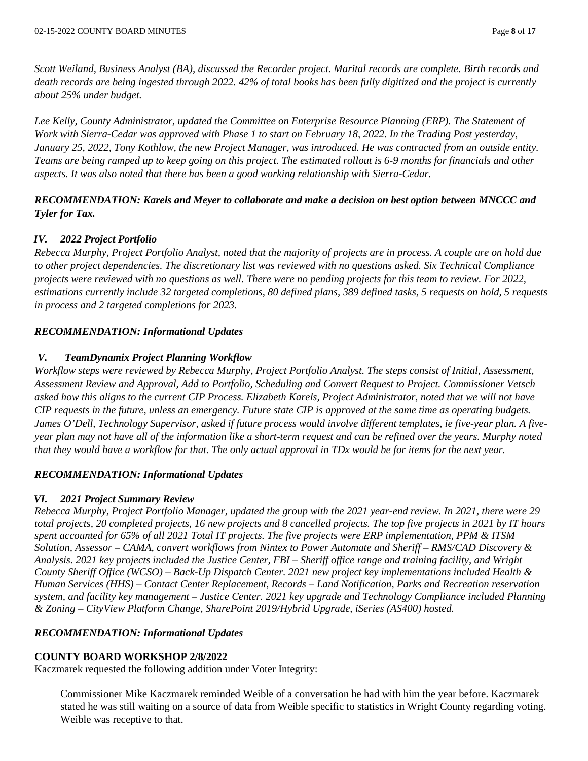*Scott Weiland, Business Analyst (BA), discussed the Recorder project. Marital records are complete. Birth records and death records are being ingested through 2022. 42% of total books has been fully digitized and the project is currently about 25% under budget.*

Lee Kelly, County Administrator, updated the Committee on Enterprise Resource Planning (ERP). The Statement of *Work with Sierra-Cedar was approved with Phase 1 to start on February 18, 2022. In the Trading Post yesterday, January 25, 2022, Tony Kothlow, the new Project Manager, was introduced. He was contracted from an outside entity. Teams are being ramped up to keep going on this project. The estimated rollout is 6-9 months for financials and other aspects. It was also noted that there has been a good working relationship with Sierra-Cedar.*

## *RECOMMENDATION: Karels and Meyer to collaborate and make a decision on best option between MNCCC and Tyler for Tax.*

## *IV. 2022 Project Portfolio*

*Rebecca Murphy, Project Portfolio Analyst, noted that the majority of projects are in process. A couple are on hold due to other project dependencies. The discretionary list was reviewed with no questions asked. Six Technical Compliance projects were reviewed with no questions as well. There were no pending projects for this team to review. For 2022, estimations currently include 32 targeted completions, 80 defined plans, 389 defined tasks, 5 requests on hold, 5 requests in process and 2 targeted completions for 2023.*

### *RECOMMENDATION: Informational Updates*

### *V. TeamDynamix Project Planning Workflow*

*Workflow steps were reviewed by Rebecca Murphy, Project Portfolio Analyst. The steps consist of Initial, Assessment, Assessment Review and Approval, Add to Portfolio, Scheduling and Convert Request to Project. Commissioner Vetsch asked how this aligns to the current CIP Process. Elizabeth Karels, Project Administrator, noted that we will not have CIP requests in the future, unless an emergency. Future state CIP is approved at the same time as operating budgets. James O'Dell, Technology Supervisor, asked if future process would involve different templates, ie five-year plan. A fiveyear plan may not have all of the information like a short-term request and can be refined over the years. Murphy noted that they would have a workflow for that. The only actual approval in TDx would be for items for the next year.*

### *RECOMMENDATION: Informational Updates*

### *VI. 2021 Project Summary Review*

*Rebecca Murphy, Project Portfolio Manager, updated the group with the 2021 year-end review. In 2021, there were 29 total projects, 20 completed projects, 16 new projects and 8 cancelled projects. The top five projects in 2021 by IT hours spent accounted for 65% of all 2021 Total IT projects. The five projects were ERP implementation, PPM & ITSM Solution, Assessor – CAMA, convert workflows from Nintex to Power Automate and Sheriff – RMS/CAD Discovery & Analysis. 2021 key projects included the Justice Center, FBI – Sheriff office range and training facility, and Wright County Sheriff Office (WCSO) – Back-Up Dispatch Center. 2021 new project key implementations included Health & Human Services (HHS) – Contact Center Replacement, Records – Land Notification, Parks and Recreation reservation system, and facility key management – Justice Center. 2021 key upgrade and Technology Compliance included Planning & Zoning – CityView Platform Change, SharePoint 2019/Hybrid Upgrade, iSeries (AS400) hosted.*

### *RECOMMENDATION: Informational Updates*

### **COUNTY BOARD WORKSHOP 2/8/2022**

Kaczmarek requested the following addition under Voter Integrity:

Commissioner Mike Kaczmarek reminded Weible of a conversation he had with him the year before. Kaczmarek stated he was still waiting on a source of data from Weible specific to statistics in Wright County regarding voting. Weible was receptive to that.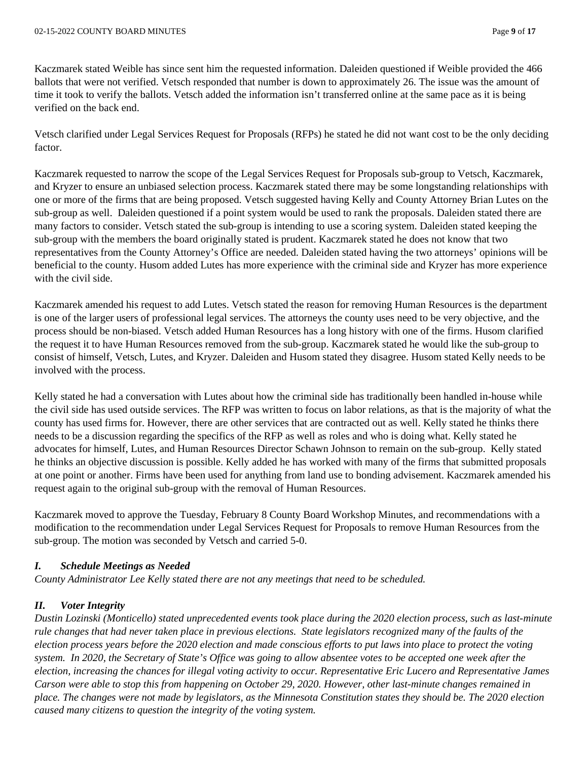Kaczmarek stated Weible has since sent him the requested information. Daleiden questioned if Weible provided the 466 ballots that were not verified. Vetsch responded that number is down to approximately 26. The issue was the amount of time it took to verify the ballots. Vetsch added the information isn't transferred online at the same pace as it is being verified on the back end.

Vetsch clarified under Legal Services Request for Proposals (RFPs) he stated he did not want cost to be the only deciding factor.

Kaczmarek requested to narrow the scope of the Legal Services Request for Proposals sub-group to Vetsch, Kaczmarek, and Kryzer to ensure an unbiased selection process. Kaczmarek stated there may be some longstanding relationships with one or more of the firms that are being proposed. Vetsch suggested having Kelly and County Attorney Brian Lutes on the sub-group as well. Daleiden questioned if a point system would be used to rank the proposals. Daleiden stated there are many factors to consider. Vetsch stated the sub-group is intending to use a scoring system. Daleiden stated keeping the sub-group with the members the board originally stated is prudent. Kaczmarek stated he does not know that two representatives from the County Attorney's Office are needed. Daleiden stated having the two attorneys' opinions will be beneficial to the county. Husom added Lutes has more experience with the criminal side and Kryzer has more experience with the civil side.

Kaczmarek amended his request to add Lutes. Vetsch stated the reason for removing Human Resources is the department is one of the larger users of professional legal services. The attorneys the county uses need to be very objective, and the process should be non-biased. Vetsch added Human Resources has a long history with one of the firms. Husom clarified the request it to have Human Resources removed from the sub-group. Kaczmarek stated he would like the sub-group to consist of himself, Vetsch, Lutes, and Kryzer. Daleiden and Husom stated they disagree. Husom stated Kelly needs to be involved with the process.

Kelly stated he had a conversation with Lutes about how the criminal side has traditionally been handled in-house while the civil side has used outside services. The RFP was written to focus on labor relations, as that is the majority of what the county has used firms for. However, there are other services that are contracted out as well. Kelly stated he thinks there needs to be a discussion regarding the specifics of the RFP as well as roles and who is doing what. Kelly stated he advocates for himself, Lutes, and Human Resources Director Schawn Johnson to remain on the sub-group. Kelly stated he thinks an objective discussion is possible. Kelly added he has worked with many of the firms that submitted proposals at one point or another. Firms have been used for anything from land use to bonding advisement. Kaczmarek amended his request again to the original sub-group with the removal of Human Resources.

Kaczmarek moved to approve the Tuesday, February 8 County Board Workshop Minutes, and recommendations with a modification to the recommendation under Legal Services Request for Proposals to remove Human Resources from the sub-group. The motion was seconded by Vetsch and carried 5-0.

## *I. Schedule Meetings as Needed*

*County Administrator Lee Kelly stated there are not any meetings that need to be scheduled.* 

## *II. Voter Integrity*

*Dustin Lozinski (Monticello) stated unprecedented events took place during the 2020 election process, such as last-minute rule changes that had never taken place in previous elections. State legislators recognized many of the faults of the election process years before the 2020 election and made conscious efforts to put laws into place to protect the voting system. In 2020, the Secretary of State's Office was going to allow absentee votes to be accepted one week after the election, increasing the chances for illegal voting activity to occur. Representative Eric Lucero and Representative James Carson were able to stop this from happening on October 29, 2020. However, other last-minute changes remained in place. The changes were not made by legislators, as the Minnesota Constitution states they should be. The 2020 election caused many citizens to question the integrity of the voting system.*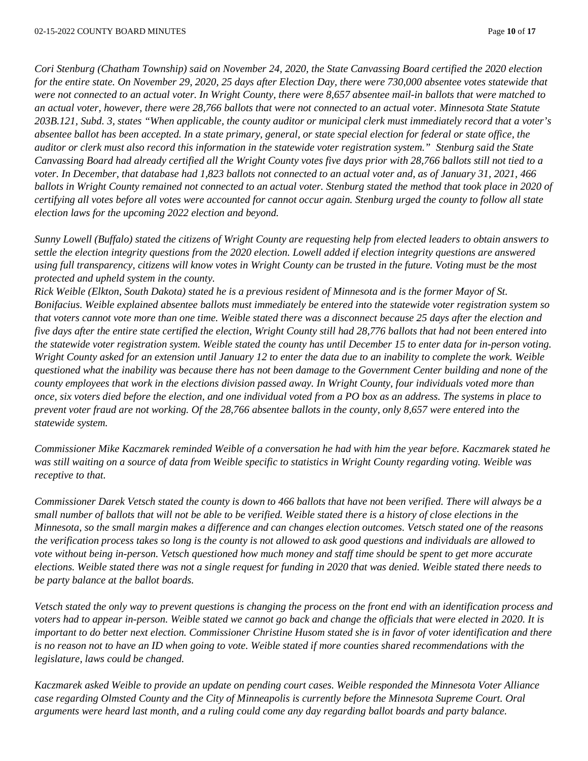*Cori Stenburg (Chatham Township) said on November 24, 2020, the State Canvassing Board certified the 2020 election for the entire state. On November 29, 2020, 25 days after Election Day, there were 730,000 absentee votes statewide that were not connected to an actual voter. In Wright County, there were 8,657 absentee mail-in ballots that were matched to an actual voter, however, there were 28,766 ballots that were not connected to an actual voter. Minnesota State Statute 203B.121, Subd. 3, states "When applicable, the county auditor or municipal clerk must immediately record that a voter's absentee ballot has been accepted. In a state primary, general, or state special election for federal or state office, the auditor or clerk must also record this information in the statewide voter registration system." Stenburg said the State Canvassing Board had already certified all the Wright County votes five days prior with 28,766 ballots still not tied to a voter. In December, that database had 1,823 ballots not connected to an actual voter and, as of January 31, 2021, 466 ballots in Wright County remained not connected to an actual voter. Stenburg stated the method that took place in 2020 of certifying all votes before all votes were accounted for cannot occur again. Stenburg urged the county to follow all state election laws for the upcoming 2022 election and beyond.* 

*Sunny Lowell (Buffalo) stated the citizens of Wright County are requesting help from elected leaders to obtain answers to settle the election integrity questions from the 2020 election. Lowell added if election integrity questions are answered using full transparency, citizens will know votes in Wright County can be trusted in the future. Voting must be the most protected and upheld system in the county.* 

*Rick Weible (Elkton, South Dakota) stated he is a previous resident of Minnesota and is the former Mayor of St. Bonifacius. Weible explained absentee ballots must immediately be entered into the statewide voter registration system so that voters cannot vote more than one time. Weible stated there was a disconnect because 25 days after the election and five days after the entire state certified the election, Wright County still had 28,776 ballots that had not been entered into the statewide voter registration system. Weible stated the county has until December 15 to enter data for in-person voting. Wright County asked for an extension until January 12 to enter the data due to an inability to complete the work. Weible questioned what the inability was because there has not been damage to the Government Center building and none of the county employees that work in the elections division passed away. In Wright County, four individuals voted more than once, six voters died before the election, and one individual voted from a PO box as an address. The systems in place to prevent voter fraud are not working. Of the 28,766 absentee ballots in the county, only 8,657 were entered into the statewide system.* 

*Commissioner Mike Kaczmarek reminded Weible of a conversation he had with him the year before. Kaczmarek stated he was still waiting on a source of data from Weible specific to statistics in Wright County regarding voting. Weible was receptive to that.* 

*Commissioner Darek Vetsch stated the county is down to 466 ballots that have not been verified. There will always be a small number of ballots that will not be able to be verified. Weible stated there is a history of close elections in the Minnesota, so the small margin makes a difference and can changes election outcomes. Vetsch stated one of the reasons the verification process takes so long is the county is not allowed to ask good questions and individuals are allowed to vote without being in-person. Vetsch questioned how much money and staff time should be spent to get more accurate elections. Weible stated there was not a single request for funding in 2020 that was denied. Weible stated there needs to be party balance at the ballot boards.* 

*Vetsch stated the only way to prevent questions is changing the process on the front end with an identification process and voters had to appear in-person. Weible stated we cannot go back and change the officials that were elected in 2020. It is important to do better next election. Commissioner Christine Husom stated she is in favor of voter identification and there is no reason not to have an ID when going to vote. Weible stated if more counties shared recommendations with the legislature, laws could be changed.* 

*Kaczmarek asked Weible to provide an update on pending court cases. Weible responded the Minnesota Voter Alliance case regarding Olmsted County and the City of Minneapolis is currently before the Minnesota Supreme Court. Oral arguments were heard last month, and a ruling could come any day regarding ballot boards and party balance.*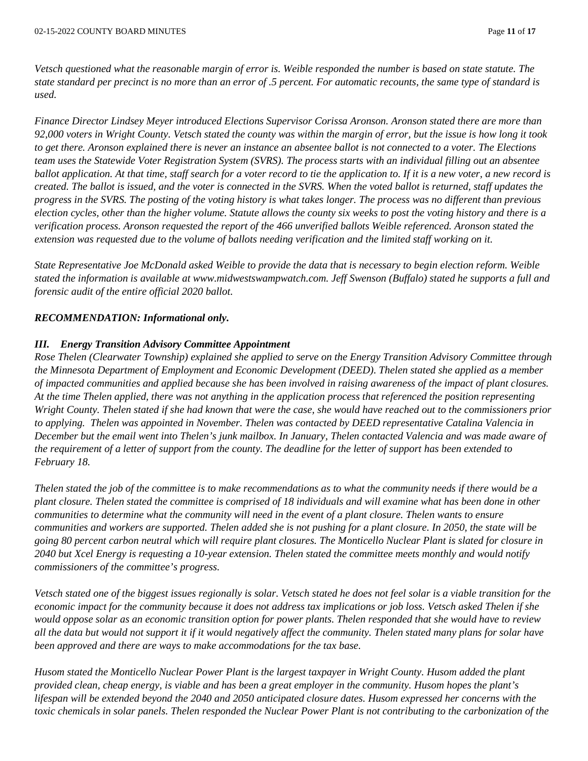*Vetsch questioned what the reasonable margin of error is. Weible responded the number is based on state statute. The state standard per precinct is no more than an error of .5 percent. For automatic recounts, the same type of standard is used.*

*Finance Director Lindsey Meyer introduced Elections Supervisor Corissa Aronson. Aronson stated there are more than 92,000 voters in Wright County. Vetsch stated the county was within the margin of error, but the issue is how long it took to get there. Aronson explained there is never an instance an absentee ballot is not connected to a voter. The Elections team uses the Statewide Voter Registration System (SVRS). The process starts with an individual filling out an absentee ballot application. At that time, staff search for a voter record to tie the application to. If it is a new voter, a new record is created. The ballot is issued, and the voter is connected in the SVRS. When the voted ballot is returned, staff updates the progress in the SVRS. The posting of the voting history is what takes longer. The process was no different than previous election cycles, other than the higher volume. Statute allows the county six weeks to post the voting history and there is a verification process. Aronson requested the report of the 466 unverified ballots Weible referenced. Aronson stated the extension was requested due to the volume of ballots needing verification and the limited staff working on it.* 

*State Representative Joe McDonald asked Weible to provide the data that is necessary to begin election reform. Weible stated the information is available at www.midwestswampwatch.com. Jeff Swenson (Buffalo) stated he supports a full and forensic audit of the entire official 2020 ballot.* 

### *RECOMMENDATION: Informational only.*

#### *III. Energy Transition Advisory Committee Appointment*

*Rose Thelen (Clearwater Township) explained she applied to serve on the Energy Transition Advisory Committee through the Minnesota Department of Employment and Economic Development (DEED). Thelen stated she applied as a member of impacted communities and applied because she has been involved in raising awareness of the impact of plant closures. At the time Thelen applied, there was not anything in the application process that referenced the position representing Wright County. Thelen stated if she had known that were the case, she would have reached out to the commissioners prior to applying. Thelen was appointed in November. Thelen was contacted by DEED representative Catalina Valencia in December but the email went into Thelen's junk mailbox. In January, Thelen contacted Valencia and was made aware of the requirement of a letter of support from the county. The deadline for the letter of support has been extended to February 18.* 

*Thelen stated the job of the committee is to make recommendations as to what the community needs if there would be a plant closure. Thelen stated the committee is comprised of 18 individuals and will examine what has been done in other communities to determine what the community will need in the event of a plant closure. Thelen wants to ensure communities and workers are supported. Thelen added she is not pushing for a plant closure. In 2050, the state will be going 80 percent carbon neutral which will require plant closures. The Monticello Nuclear Plant is slated for closure in 2040 but Xcel Energy is requesting a 10-year extension. Thelen stated the committee meets monthly and would notify commissioners of the committee's progress.* 

*Vetsch stated one of the biggest issues regionally is solar. Vetsch stated he does not feel solar is a viable transition for the economic impact for the community because it does not address tax implications or job loss. Vetsch asked Thelen if she would oppose solar as an economic transition option for power plants. Thelen responded that she would have to review all the data but would not support it if it would negatively affect the community. Thelen stated many plans for solar have been approved and there are ways to make accommodations for the tax base.* 

*Husom stated the Monticello Nuclear Power Plant is the largest taxpayer in Wright County. Husom added the plant provided clean, cheap energy, is viable and has been a great employer in the community. Husom hopes the plant's lifespan will be extended beyond the 2040 and 2050 anticipated closure dates. Husom expressed her concerns with the toxic chemicals in solar panels. Thelen responded the Nuclear Power Plant is not contributing to the carbonization of the*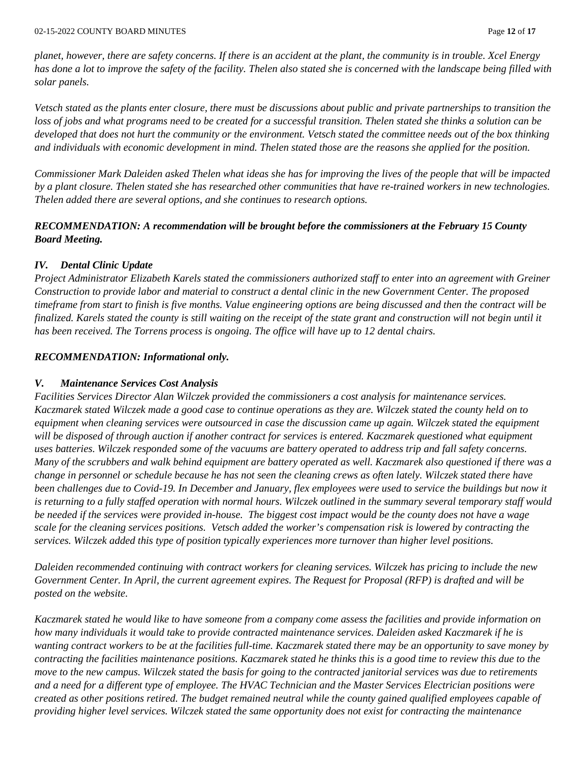*planet, however, there are safety concerns. If there is an accident at the plant, the community is in trouble. Xcel Energy has done a lot to improve the safety of the facility. Thelen also stated she is concerned with the landscape being filled with solar panels.* 

*Vetsch stated as the plants enter closure, there must be discussions about public and private partnerships to transition the loss of jobs and what programs need to be created for a successful transition. Thelen stated she thinks a solution can be developed that does not hurt the community or the environment. Vetsch stated the committee needs out of the box thinking and individuals with economic development in mind. Thelen stated those are the reasons she applied for the position.* 

*Commissioner Mark Daleiden asked Thelen what ideas she has for improving the lives of the people that will be impacted by a plant closure. Thelen stated she has researched other communities that have re-trained workers in new technologies. Thelen added there are several options, and she continues to research options.* 

## *RECOMMENDATION: A recommendation will be brought before the commissioners at the February 15 County Board Meeting.*

## *IV. Dental Clinic Update*

*Project Administrator Elizabeth Karels stated the commissioners authorized staff to enter into an agreement with Greiner Construction to provide labor and material to construct a dental clinic in the new Government Center. The proposed timeframe from start to finish is five months. Value engineering options are being discussed and then the contract will be finalized. Karels stated the county is still waiting on the receipt of the state grant and construction will not begin until it has been received. The Torrens process is ongoing. The office will have up to 12 dental chairs.* 

## *RECOMMENDATION: Informational only.*

### *V. Maintenance Services Cost Analysis*

*Facilities Services Director Alan Wilczek provided the commissioners a cost analysis for maintenance services. Kaczmarek stated Wilczek made a good case to continue operations as they are. Wilczek stated the county held on to equipment when cleaning services were outsourced in case the discussion came up again. Wilczek stated the equipment will be disposed of through auction if another contract for services is entered. Kaczmarek questioned what equipment uses batteries. Wilczek responded some of the vacuums are battery operated to address trip and fall safety concerns. Many of the scrubbers and walk behind equipment are battery operated as well. Kaczmarek also questioned if there was a change in personnel or schedule because he has not seen the cleaning crews as often lately. Wilczek stated there have been challenges due to Covid-19. In December and January, flex employees were used to service the buildings but now it is returning to a fully staffed operation with normal hours. Wilczek outlined in the summary several temporary staff would be needed if the services were provided in-house. The biggest cost impact would be the county does not have a wage scale for the cleaning services positions. Vetsch added the worker's compensation risk is lowered by contracting the services. Wilczek added this type of position typically experiences more turnover than higher level positions.* 

*Daleiden recommended continuing with contract workers for cleaning services. Wilczek has pricing to include the new Government Center. In April, the current agreement expires. The Request for Proposal (RFP) is drafted and will be posted on the website.* 

*Kaczmarek stated he would like to have someone from a company come assess the facilities and provide information on how many individuals it would take to provide contracted maintenance services. Daleiden asked Kaczmarek if he is wanting contract workers to be at the facilities full-time. Kaczmarek stated there may be an opportunity to save money by contracting the facilities maintenance positions. Kaczmarek stated he thinks this is a good time to review this due to the move to the new campus. Wilczek stated the basis for going to the contracted janitorial services was due to retirements and a need for a different type of employee. The HVAC Technician and the Master Services Electrician positions were created as other positions retired. The budget remained neutral while the county gained qualified employees capable of providing higher level services. Wilczek stated the same opportunity does not exist for contracting the maintenance*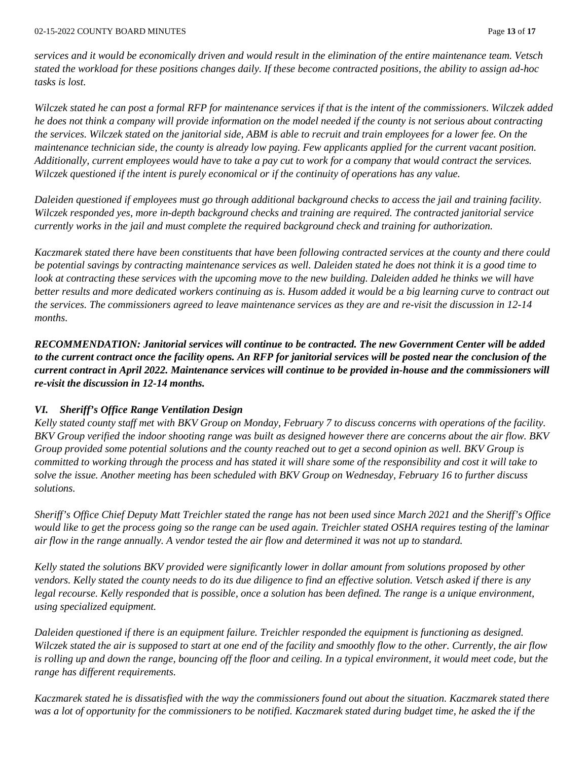*services and it would be economically driven and would result in the elimination of the entire maintenance team. Vetsch stated the workload for these positions changes daily. If these become contracted positions, the ability to assign ad-hoc tasks is lost.* 

*Wilczek stated he can post a formal RFP for maintenance services if that is the intent of the commissioners. Wilczek added he does not think a company will provide information on the model needed if the county is not serious about contracting the services. Wilczek stated on the janitorial side, ABM is able to recruit and train employees for a lower fee. On the maintenance technician side, the county is already low paying. Few applicants applied for the current vacant position. Additionally, current employees would have to take a pay cut to work for a company that would contract the services. Wilczek questioned if the intent is purely economical or if the continuity of operations has any value.* 

*Daleiden questioned if employees must go through additional background checks to access the jail and training facility. Wilczek responded yes, more in-depth background checks and training are required. The contracted janitorial service currently works in the jail and must complete the required background check and training for authorization.* 

*Kaczmarek stated there have been constituents that have been following contracted services at the county and there could be potential savings by contracting maintenance services as well. Daleiden stated he does not think it is a good time to look at contracting these services with the upcoming move to the new building. Daleiden added he thinks we will have better results and more dedicated workers continuing as is. Husom added it would be a big learning curve to contract out the services. The commissioners agreed to leave maintenance services as they are and re-visit the discussion in 12-14 months.* 

*RECOMMENDATION: Janitorial services will continue to be contracted. The new Government Center will be added to the current contract once the facility opens. An RFP for janitorial services will be posted near the conclusion of the current contract in April 2022. Maintenance services will continue to be provided in-house and the commissioners will re-visit the discussion in 12-14 months.* 

# *VI. Sheriff's Office Range Ventilation Design*

*Kelly stated county staff met with BKV Group on Monday, February 7 to discuss concerns with operations of the facility. BKV Group verified the indoor shooting range was built as designed however there are concerns about the air flow. BKV Group provided some potential solutions and the county reached out to get a second opinion as well. BKV Group is committed to working through the process and has stated it will share some of the responsibility and cost it will take to solve the issue. Another meeting has been scheduled with BKV Group on Wednesday, February 16 to further discuss solutions.* 

*Sheriff's Office Chief Deputy Matt Treichler stated the range has not been used since March 2021 and the Sheriff's Office would like to get the process going so the range can be used again. Treichler stated OSHA requires testing of the laminar air flow in the range annually. A vendor tested the air flow and determined it was not up to standard.* 

*Kelly stated the solutions BKV provided were significantly lower in dollar amount from solutions proposed by other vendors. Kelly stated the county needs to do its due diligence to find an effective solution. Vetsch asked if there is any legal recourse. Kelly responded that is possible, once a solution has been defined. The range is a unique environment, using specialized equipment.* 

*Daleiden questioned if there is an equipment failure. Treichler responded the equipment is functioning as designed. Wilczek stated the air is supposed to start at one end of the facility and smoothly flow to the other. Currently, the air flow is rolling up and down the range, bouncing off the floor and ceiling. In a typical environment, it would meet code, but the range has different requirements.* 

*Kaczmarek stated he is dissatisfied with the way the commissioners found out about the situation. Kaczmarek stated there*  was a lot of opportunity for the commissioners to be notified. Kaczmarek stated during budget time, he asked the if the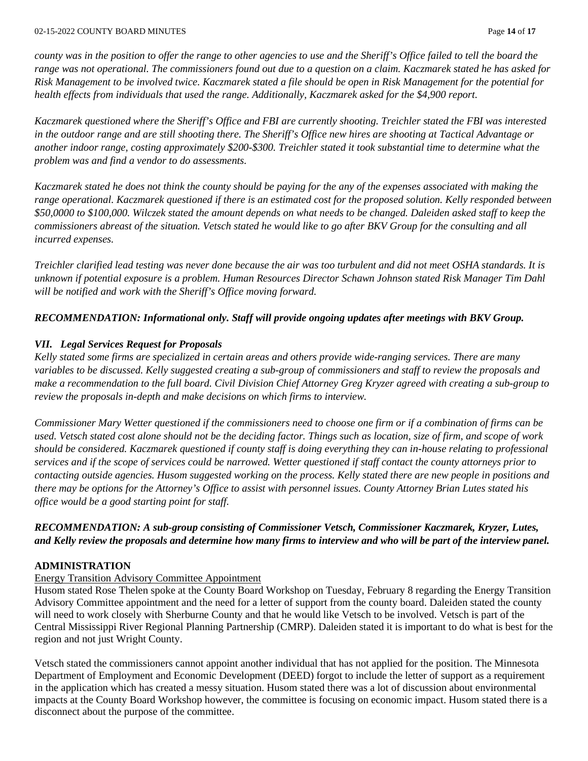*county was in the position to offer the range to other agencies to use and the Sheriff's Office failed to tell the board the range was not operational. The commissioners found out due to a question on a claim. Kaczmarek stated he has asked for Risk Management to be involved twice. Kaczmarek stated a file should be open in Risk Management for the potential for health effects from individuals that used the range. Additionally, Kaczmarek asked for the \$4,900 report.* 

*Kaczmarek questioned where the Sheriff's Office and FBI are currently shooting. Treichler stated the FBI was interested in the outdoor range and are still shooting there. The Sheriff's Office new hires are shooting at Tactical Advantage or another indoor range, costing approximately \$200-\$300. Treichler stated it took substantial time to determine what the problem was and find a vendor to do assessments.* 

*Kaczmarek stated he does not think the county should be paying for the any of the expenses associated with making the range operational. Kaczmarek questioned if there is an estimated cost for the proposed solution. Kelly responded between \$50,0000 to \$100,000. Wilczek stated the amount depends on what needs to be changed. Daleiden asked staff to keep the commissioners abreast of the situation. Vetsch stated he would like to go after BKV Group for the consulting and all incurred expenses.* 

*Treichler clarified lead testing was never done because the air was too turbulent and did not meet OSHA standards. It is unknown if potential exposure is a problem. Human Resources Director Schawn Johnson stated Risk Manager Tim Dahl will be notified and work with the Sheriff's Office moving forward.* 

## *RECOMMENDATION: Informational only. Staff will provide ongoing updates after meetings with BKV Group.*

## *VII. Legal Services Request for Proposals*

*Kelly stated some firms are specialized in certain areas and others provide wide-ranging services. There are many variables to be discussed. Kelly suggested creating a sub-group of commissioners and staff to review the proposals and make a recommendation to the full board. Civil Division Chief Attorney Greg Kryzer agreed with creating a sub-group to review the proposals in-depth and make decisions on which firms to interview.* 

*Commissioner Mary Wetter questioned if the commissioners need to choose one firm or if a combination of firms can be used. Vetsch stated cost alone should not be the deciding factor. Things such as location, size of firm, and scope of work should be considered. Kaczmarek questioned if county staff is doing everything they can in-house relating to professional services and if the scope of services could be narrowed. Wetter questioned if staff contact the county attorneys prior to contacting outside agencies. Husom suggested working on the process. Kelly stated there are new people in positions and there may be options for the Attorney's Office to assist with personnel issues. County Attorney Brian Lutes stated his office would be a good starting point for staff.* 

# *RECOMMENDATION: A sub-group consisting of Commissioner Vetsch, Commissioner Kaczmarek, Kryzer, Lutes, and Kelly review the proposals and determine how many firms to interview and who will be part of the interview panel.*

## **ADMINISTRATION**

## Energy Transition Advisory Committee Appointment

Husom stated Rose Thelen spoke at the County Board Workshop on Tuesday, February 8 regarding the Energy Transition Advisory Committee appointment and the need for a letter of support from the county board. Daleiden stated the county will need to work closely with Sherburne County and that he would like Vetsch to be involved. Vetsch is part of the Central Mississippi River Regional Planning Partnership (CMRP). Daleiden stated it is important to do what is best for the region and not just Wright County.

Vetsch stated the commissioners cannot appoint another individual that has not applied for the position. The Minnesota Department of Employment and Economic Development (DEED) forgot to include the letter of support as a requirement in the application which has created a messy situation. Husom stated there was a lot of discussion about environmental impacts at the County Board Workshop however, the committee is focusing on economic impact. Husom stated there is a disconnect about the purpose of the committee.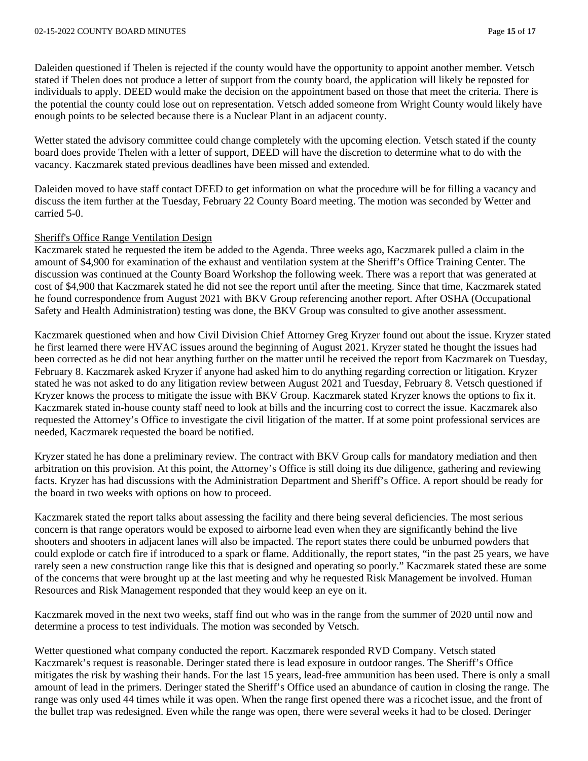Daleiden questioned if Thelen is rejected if the county would have the opportunity to appoint another member. Vetsch stated if Thelen does not produce a letter of support from the county board, the application will likely be reposted for individuals to apply. DEED would make the decision on the appointment based on those that meet the criteria. There is the potential the county could lose out on representation. Vetsch added someone from Wright County would likely have enough points to be selected because there is a Nuclear Plant in an adjacent county.

Wetter stated the advisory committee could change completely with the upcoming election. Vetsch stated if the county board does provide Thelen with a letter of support, DEED will have the discretion to determine what to do with the vacancy. Kaczmarek stated previous deadlines have been missed and extended.

Daleiden moved to have staff contact DEED to get information on what the procedure will be for filling a vacancy and discuss the item further at the Tuesday, February 22 County Board meeting. The motion was seconded by Wetter and carried 5-0.

### Sheriff's Office Range Ventilation Design

Kaczmarek stated he requested the item be added to the Agenda. Three weeks ago, Kaczmarek pulled a claim in the amount of \$4,900 for examination of the exhaust and ventilation system at the Sheriff's Office Training Center. The discussion was continued at the County Board Workshop the following week. There was a report that was generated at cost of \$4,900 that Kaczmarek stated he did not see the report until after the meeting. Since that time, Kaczmarek stated he found correspondence from August 2021 with BKV Group referencing another report. After OSHA (Occupational Safety and Health Administration) testing was done, the BKV Group was consulted to give another assessment.

Kaczmarek questioned when and how Civil Division Chief Attorney Greg Kryzer found out about the issue. Kryzer stated he first learned there were HVAC issues around the beginning of August 2021. Kryzer stated he thought the issues had been corrected as he did not hear anything further on the matter until he received the report from Kaczmarek on Tuesday, February 8. Kaczmarek asked Kryzer if anyone had asked him to do anything regarding correction or litigation. Kryzer stated he was not asked to do any litigation review between August 2021 and Tuesday, February 8. Vetsch questioned if Kryzer knows the process to mitigate the issue with BKV Group. Kaczmarek stated Kryzer knows the options to fix it. Kaczmarek stated in-house county staff need to look at bills and the incurring cost to correct the issue. Kaczmarek also requested the Attorney's Office to investigate the civil litigation of the matter. If at some point professional services are needed, Kaczmarek requested the board be notified.

Kryzer stated he has done a preliminary review. The contract with BKV Group calls for mandatory mediation and then arbitration on this provision. At this point, the Attorney's Office is still doing its due diligence, gathering and reviewing facts. Kryzer has had discussions with the Administration Department and Sheriff's Office. A report should be ready for the board in two weeks with options on how to proceed.

Kaczmarek stated the report talks about assessing the facility and there being several deficiencies. The most serious concern is that range operators would be exposed to airborne lead even when they are significantly behind the live shooters and shooters in adjacent lanes will also be impacted. The report states there could be unburned powders that could explode or catch fire if introduced to a spark or flame. Additionally, the report states, "in the past 25 years, we have rarely seen a new construction range like this that is designed and operating so poorly." Kaczmarek stated these are some of the concerns that were brought up at the last meeting and why he requested Risk Management be involved. Human Resources and Risk Management responded that they would keep an eye on it.

Kaczmarek moved in the next two weeks, staff find out who was in the range from the summer of 2020 until now and determine a process to test individuals. The motion was seconded by Vetsch.

Wetter questioned what company conducted the report. Kaczmarek responded RVD Company. Vetsch stated Kaczmarek's request is reasonable. Deringer stated there is lead exposure in outdoor ranges. The Sheriff's Office mitigates the risk by washing their hands. For the last 15 years, lead-free ammunition has been used. There is only a small amount of lead in the primers. Deringer stated the Sheriff's Office used an abundance of caution in closing the range. The range was only used 44 times while it was open. When the range first opened there was a ricochet issue, and the front of the bullet trap was redesigned. Even while the range was open, there were several weeks it had to be closed. Deringer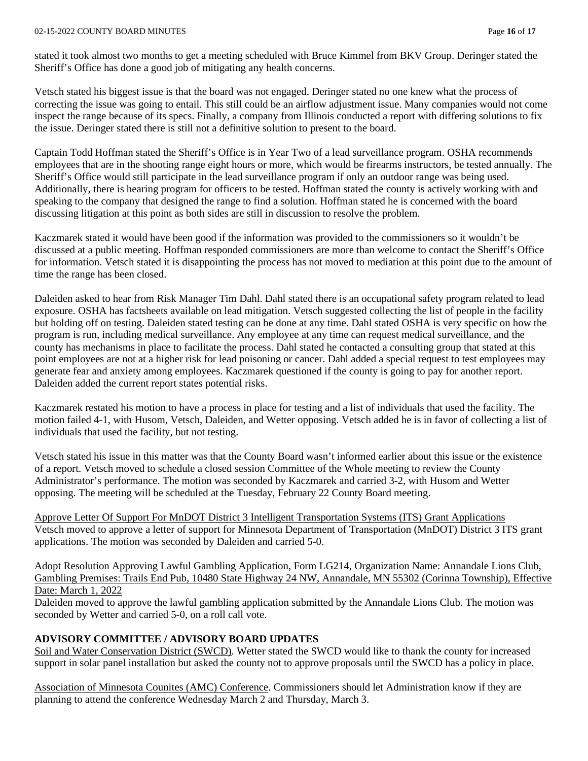#### 02-15-2022 COUNTY BOARD MINUTES Page **16** of **17**

stated it took almost two months to get a meeting scheduled with Bruce Kimmel from BKV Group. Deringer stated the Sheriff's Office has done a good job of mitigating any health concerns.

Vetsch stated his biggest issue is that the board was not engaged. Deringer stated no one knew what the process of correcting the issue was going to entail. This still could be an airflow adjustment issue. Many companies would not come inspect the range because of its specs. Finally, a company from Illinois conducted a report with differing solutions to fix the issue. Deringer stated there is still not a definitive solution to present to the board.

Captain Todd Hoffman stated the Sheriff's Office is in Year Two of a lead surveillance program. OSHA recommends employees that are in the shooting range eight hours or more, which would be firearms instructors, be tested annually. The Sheriff's Office would still participate in the lead surveillance program if only an outdoor range was being used. Additionally, there is hearing program for officers to be tested. Hoffman stated the county is actively working with and speaking to the company that designed the range to find a solution. Hoffman stated he is concerned with the board discussing litigation at this point as both sides are still in discussion to resolve the problem.

Kaczmarek stated it would have been good if the information was provided to the commissioners so it wouldn't be discussed at a public meeting. Hoffman responded commissioners are more than welcome to contact the Sheriff's Office for information. Vetsch stated it is disappointing the process has not moved to mediation at this point due to the amount of time the range has been closed.

Daleiden asked to hear from Risk Manager Tim Dahl. Dahl stated there is an occupational safety program related to lead exposure. OSHA has factsheets available on lead mitigation. Vetsch suggested collecting the list of people in the facility but holding off on testing. Daleiden stated testing can be done at any time. Dahl stated OSHA is very specific on how the program is run, including medical surveillance. Any employee at any time can request medical surveillance, and the county has mechanisms in place to facilitate the process. Dahl stated he contacted a consulting group that stated at this point employees are not at a higher risk for lead poisoning or cancer. Dahl added a special request to test employees may generate fear and anxiety among employees. Kaczmarek questioned if the county is going to pay for another report. Daleiden added the current report states potential risks.

Kaczmarek restated his motion to have a process in place for testing and a list of individuals that used the facility. The motion failed 4-1, with Husom, Vetsch, Daleiden, and Wetter opposing. Vetsch added he is in favor of collecting a list of individuals that used the facility, but not testing.

Vetsch stated his issue in this matter was that the County Board wasn't informed earlier about this issue or the existence of a report. Vetsch moved to schedule a closed session Committee of the Whole meeting to review the County Administrator's performance. The motion was seconded by Kaczmarek and carried 3-2, with Husom and Wetter opposing. The meeting will be scheduled at the Tuesday, February 22 County Board meeting.

Approve Letter Of Support For MnDOT District 3 Intelligent Transportation Systems (ITS) Grant Applications Vetsch moved to approve a letter of support for Minnesota Department of Transportation (MnDOT) District 3 ITS grant applications. The motion was seconded by Daleiden and carried 5-0.

Adopt Resolution Approving Lawful Gambling Application, Form LG214, Organization Name: Annandale Lions Club, Gambling Premises: Trails End Pub, 10480 State Highway 24 NW, Annandale, MN 55302 (Corinna Township), Effective Date: March 1, 2022

Daleiden moved to approve the lawful gambling application submitted by the Annandale Lions Club. The motion was seconded by Wetter and carried 5-0, on a roll call vote.

## **ADVISORY COMMITTEE / ADVISORY BOARD UPDATES**

Soil and Water Conservation District (SWCD). Wetter stated the SWCD would like to thank the county for increased support in solar panel installation but asked the county not to approve proposals until the SWCD has a policy in place.

Association of Minnesota Counites (AMC) Conference. Commissioners should let Administration know if they are planning to attend the conference Wednesday March 2 and Thursday, March 3.